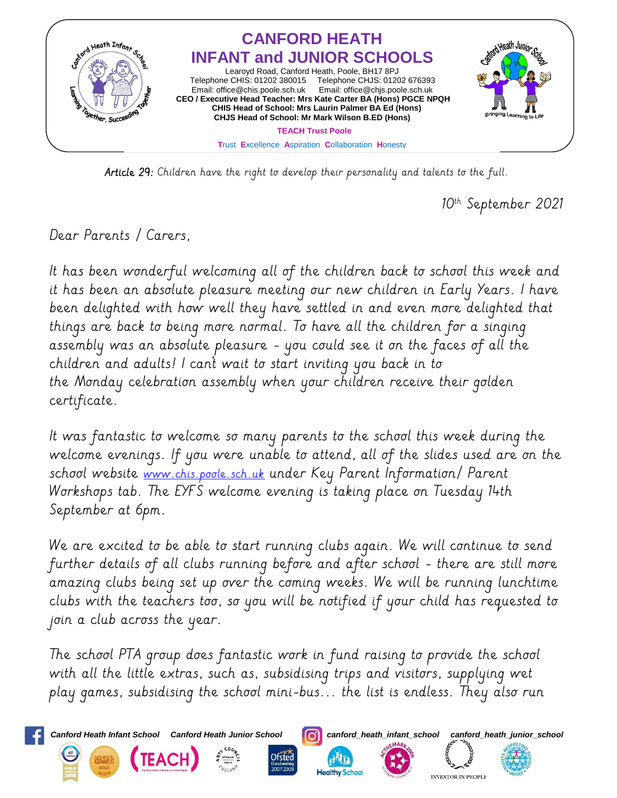

Article 29: Children have the right to develop their personality and talents to the full.

10<sup>th</sup> September 2021

Dear Parents / Carers,

It has been wonderful welcoming all of the children back to school this week and it has been an absolute pleasure meeting our new children in Early Years. I have been delighted with how well they have settled in and even more delighted that things are back to being more normal. To have all the children for a singing assembly was an absolute pleasure - you could see it on the faces of all the children and adults! I can't wait to start inviting you back in to the Monday celebration assembly when your children receive their golden certificate.

It was fantastic to welcome so many parents to the school this week during the welcome evenings. If you were unable to attend, all of the slides used are on the school website [www.chis.poole.sch.uk](http://www.chis.poole.sch.uk/) under Key Parent Information/ Parent Workshops tab. The EYFS welcome evening is taking place on Tuesday 14th September at 6pm.

We are excited to be able to start running clubs again. We will continue to send further details of all clubs running before and after school - there are still more amazing clubs being set up over the coming weeks. We will be running lunchtime clubs with the teachers too, so you will be notified if your child has requested to join a club across the year.

The school PTA group does fantastic work in fund raising to provide the school with all the little extras, such as, subsidising trips and visitors, supplying wet play games, subsidising the school mini-bus... the list is endless. They also run